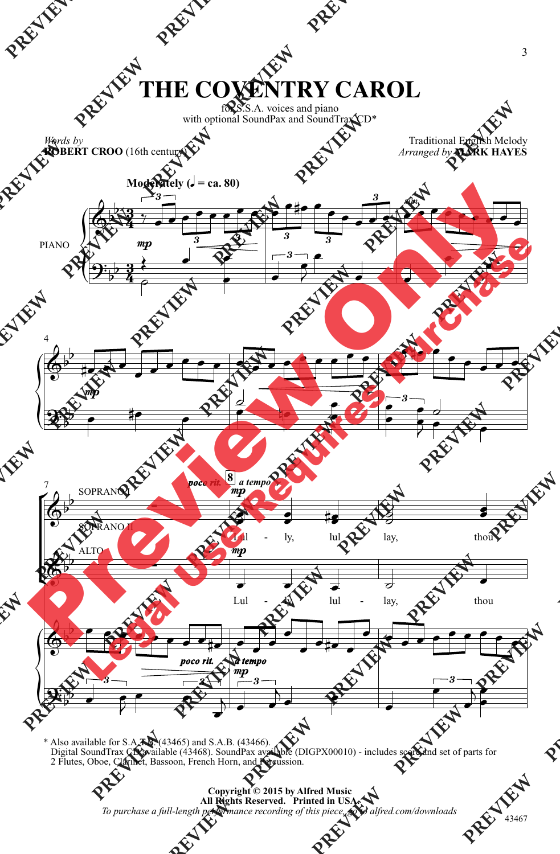## **THE COVENTRY CAROL**

for S.S.A. voices and piano with optional SoundPax and SoundTrax CD\*

*Words by* **ROBERT CROO** (16th century)

Traditional English Melody *Arranged by* **MARK HAYES**



\* Also available for S.A.T.B. (43465) and S.A.B. (43466). Digital SoundTrax CD available (43468). SoundPax available (DIGPX00010) - includes score and set of parts for 2 Flutes, Oboe, Clarinet, Bassoon, French Horn, and Percussion.

> **Copyright © 2015 by Alfred Music All Rights Reserved. Printed in USA.** *To purchase a full-length performance recording of this piece, go to alfred.com/downloads*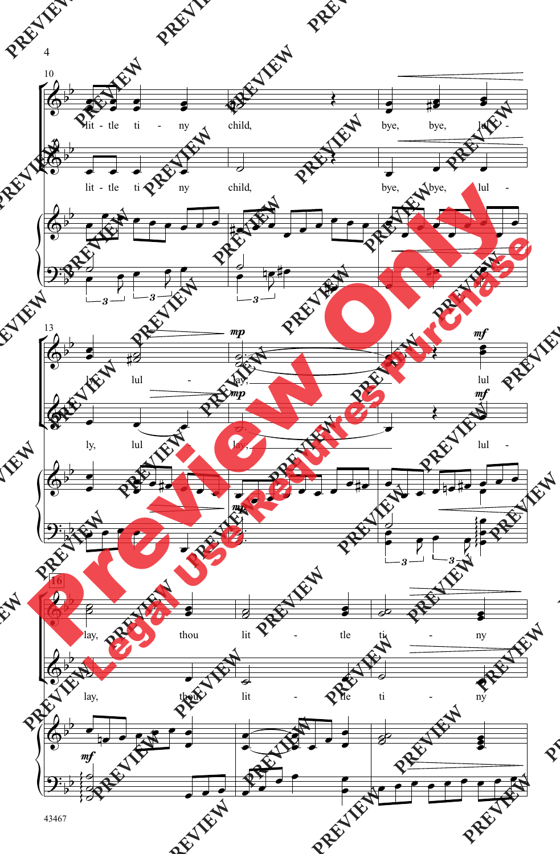

4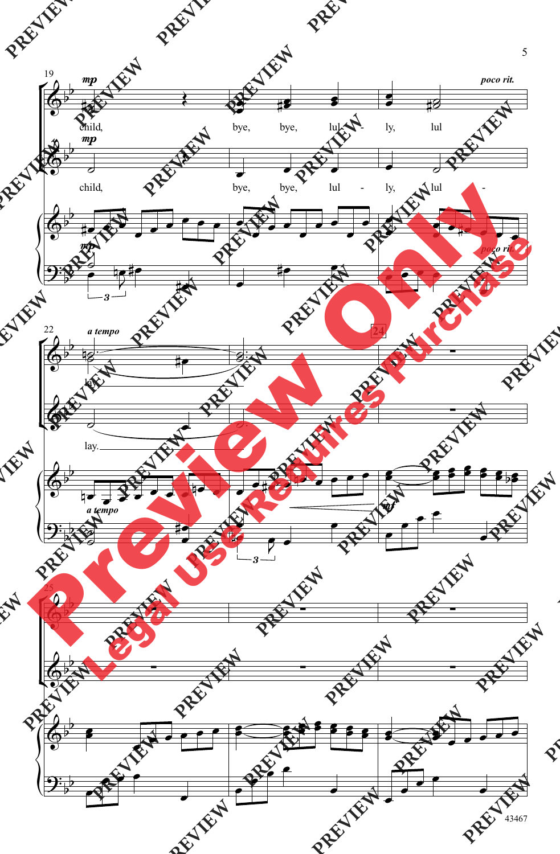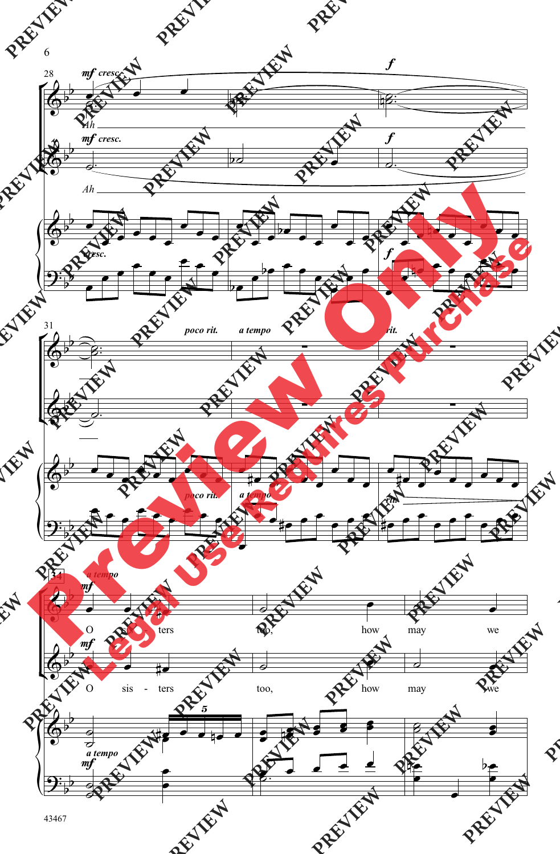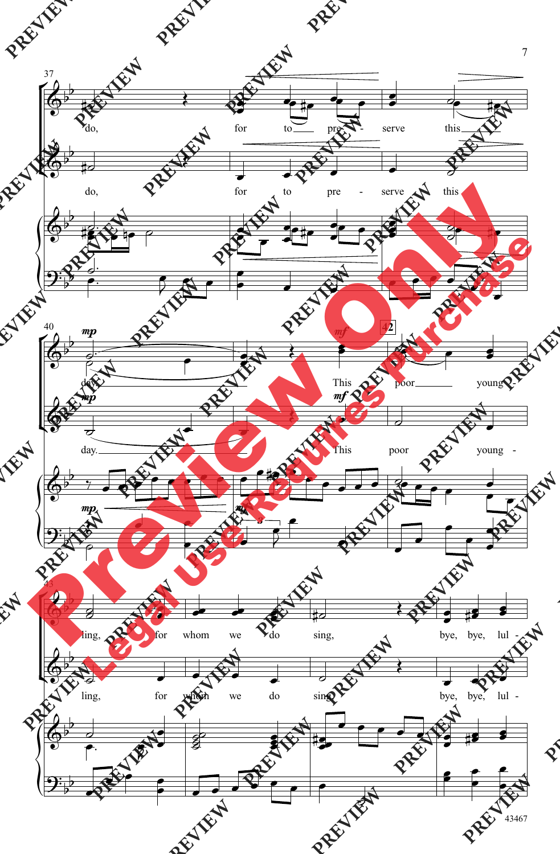

43467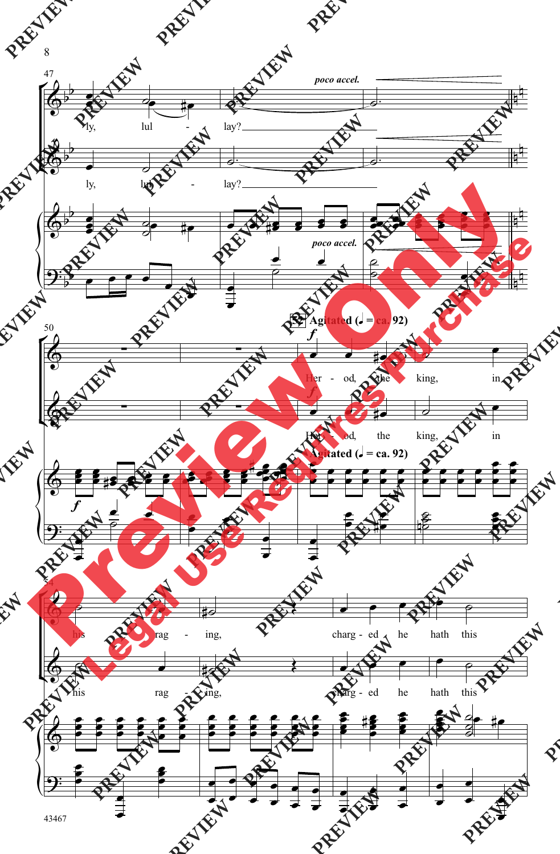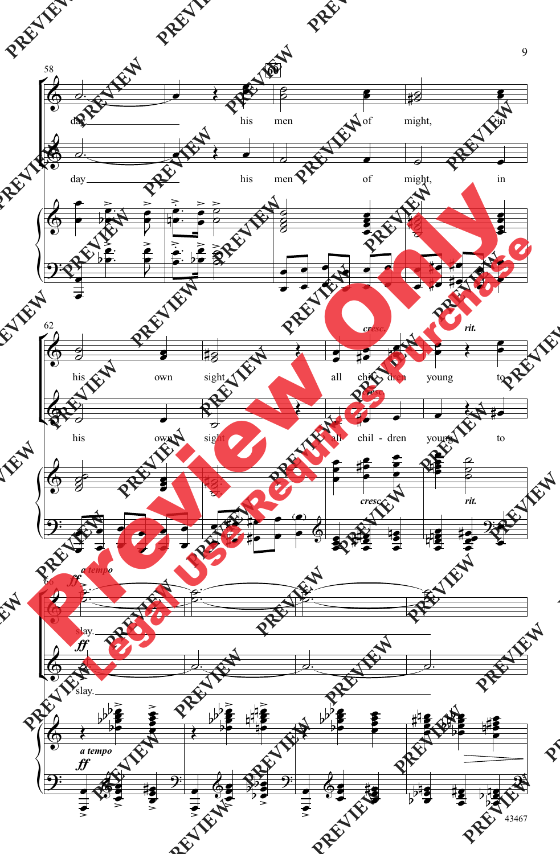

43467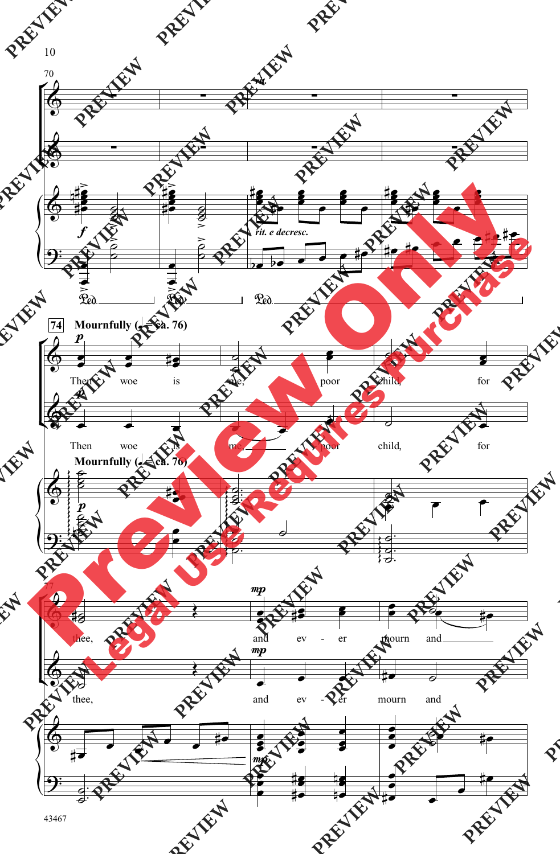